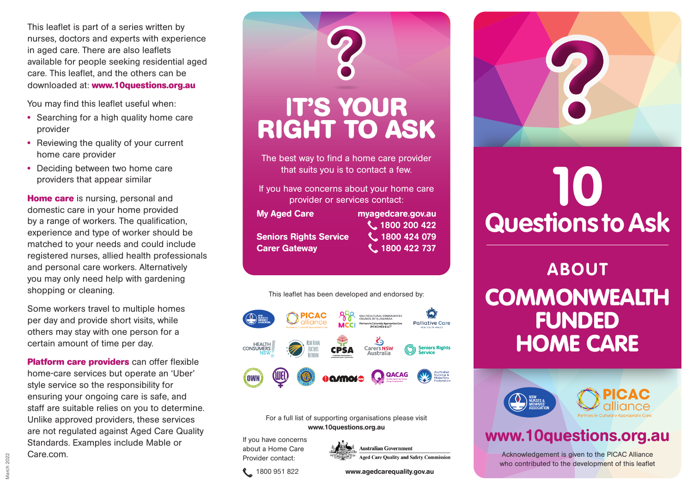This leaflet is part of a series written by nurses, doctors and experts with experience in aged care. There are also leaflets available for people seeking residential aged care. This leaflet, and the others can be downloaded at: **www.10questions.org.au**

You may find this leaflet useful when:

- **•** Searching for a high quality home care provider
- **•** Reviewing the quality of your current home care provider
- **•** Deciding between two home care providers that appear similar

**Home care** is nursing, personal and domestic care in your home provided by a range of workers. The qualification, experience and type of worker should be matched to your needs and could include registered nurses, allied health professionals and personal care workers. Alternatively you may only need help with gardening shopping or cleaning.

Some workers travel to multiple homes per day and provide short visits, while others may stay with one person for a certain amount of time per day.

**Platform care providers** can offer flexible home-care services but operate an 'Uber' style service so the responsibility for ensuring your ongoing care is safe, and staff are suitable relies on you to determine. Unlike approved providers, these services are not regulated against Aged Care Quality Standards. Examples include Mable or Care.com.





#### For a full list of supporting organisations please visit www.10questions.org.au

If you have concerns about a Home Care Provider contact:



# **10 Questions to Ask**

**ABOUT COMMONWEALTH** FUNDED HOME CARE





## www.10questions.org.au

Acknowledgement is given to the PICAC Alliance who contributed to the development of this leaflet

1800 951 822